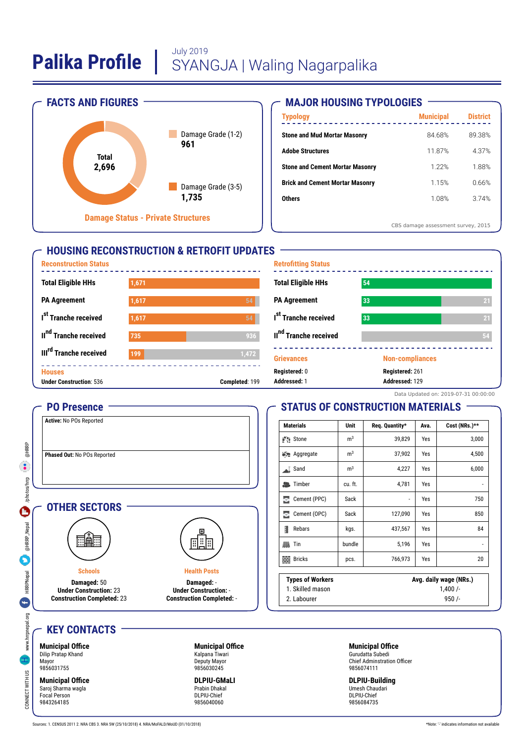

### **MAJOR HOUSING TYPOLOGIES**

| <b>Municipal</b> | <b>District</b>                    |
|------------------|------------------------------------|
| 84.68%           | 89.38%                             |
| 11.87%           | 4.37%                              |
| 1.22%            | 1.88%                              |
| 1.15%            | 0.66%                              |
| 1.08%            | 374%                               |
|                  |                                    |
|                  | CBS damage assessment survey, 2015 |

### **HOUSING RECONSTRUCTION & RETROFIT UPDATES**



| <b>Retrofitting Status</b>        |                        |                 |
|-----------------------------------|------------------------|-----------------|
| <b>Total Eligible HHs</b>         | 54                     |                 |
| <b>PA Agreement</b>               | 33                     | 21              |
| I <sup>st</sup> Tranche received  | 33                     | $\overline{21}$ |
| II <sup>nd</sup> Tranche received |                        | 54              |
| <b>Grievances</b>                 | <b>Non-compliances</b> |                 |
| Registered: 0                     | Registered: 261        |                 |
| Addressed: 1                      | Addressed: 129         |                 |

### Data Updated on: 2019-07-31 00:00:00

## **STATUS OF CONSTRUCTION MATERIALS**

| <b>Materials</b>        | Unit           | Req. Quantity*         | Ava. | Cost (NRs.)** |
|-------------------------|----------------|------------------------|------|---------------|
| Stone                   | m <sup>3</sup> | 39,829                 | Yes  | 3,000         |
| Aggregate               | m <sup>3</sup> | 37,902                 | Yes  | 4,500         |
| Sand                    | m <sup>3</sup> | 4,227                  | Yes  | 6,000         |
| Timber<br>品             | cu. ft.        | 4,781                  | Yes  | -             |
| Cement (PPC)<br>Ξ       | Sack           | -                      | Yes  | 750           |
| Cement (OPC)<br>ε       | Sack           | 127,090                | Yes  | 850           |
| 1<br>Rebars             | kgs.           | 437,567                | Yes  | 84            |
| 胍<br>Tin                | bundle         | 5,196                  | Yes  | -             |
| <b>Bricks</b><br>鹽      | pcs.           | 766,973                | Yes  | 20            |
| <b>Types of Workers</b> |                | Avg. daily wage (NRs.) |      |               |
| 1. Skilled mason        |                | 1,400/                 |      |               |
| 2 Labourer              |                | 950/                   |      |               |

2. Labourer

**KEY CONTACTS**

**PO Presence Active:** No POs Reported

**Phased Out:** No POs Reported

**OTHER SECTORS**

**Schools Damaged:** 50 **Under Construction:** 23 **Construction Completed:** 23

ा॑⊞

**Municipal Office** Dilip Pratap Khand Mayor 9856031755

CONNECT WWW.hrrpnepal.org HRRPNepal and December 1999 and December 1999 and December 1999 and December 1999 and December 1999 and December 1999 and December 1999 and December 1999 and December 1999 and December 1999 and De

**HRRPNepal** 

Ġ

www.hrrpnepal.org

CONNECT WITH US

@HRRP  $\bullet$ 

/photos/hrp

 $\mathbf \Theta$ 

@HRRP\_Nepal

**Municipal Office** Saroj Sharma wagla Focal Person 9843264185

**Municipal Office** Kalpana Tiwari Deputy Mayor 9856030245

**Health Posts Damaged:** - **Under Construction:** - **Construction Completed:** -

围

**DLPIU-GMaLI** Prabin Dhakal DLPIU-Chief 9856040060

#### **Municipal Office** Gurudatta Subedi Chief Adminstration Officer 9856074111

**DLPIU-Building** Umesh Chaudari DLPIU-Chief 9856084735